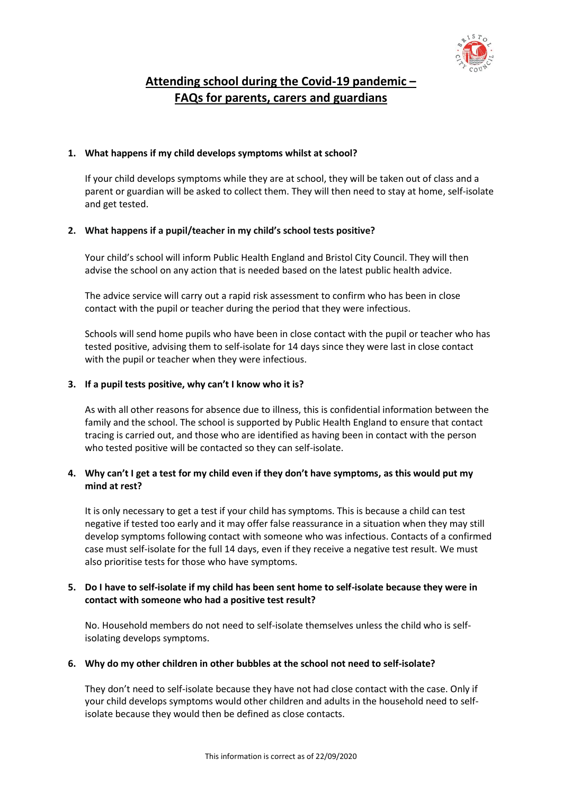

# **Attending school during the Covid-19 pandemic – FAQs for parents, carers and guardians**

## **1. What happens if my child develops symptoms whilst at school?**

If your child develops symptoms while they are at school, they will be taken out of class and a parent or guardian will be asked to collect them. They will then need to stay at home, self-isolate and get tested.

## **2. What happens if a pupil/teacher in my child's school tests positive?**

Your child's school will inform Public Health England and Bristol City Council. They will then advise the school on any action that is needed based on the latest public health advice.

The advice service will carry out a rapid risk assessment to confirm who has been in close contact with the pupil or teacher during the period that they were infectious.

Schools will send home pupils who have been in close contact with the pupil or teacher who has tested positive, advising them to self-isolate for 14 days since they were last in close contact with the pupil or teacher when they were infectious.

## **3. If a pupil tests positive, why can't I know who it is?**

As with all other reasons for absence due to illness, this is confidential information between the family and the school. The school is supported by Public Health England to ensure that contact tracing is carried out, and those who are identified as having been in contact with the person who tested positive will be contacted so they can self-isolate.

## **4. Why can't I get a test for my child even if they don't have symptoms, as this would put my mind at rest?**

It is only necessary to get a test if your child has symptoms. This is because a child can test negative if tested too early and it may offer false reassurance in a situation when they may still develop symptoms following contact with someone who was infectious. Contacts of a confirmed case must self-isolate for the full 14 days, even if they receive a negative test result. We must also prioritise tests for those who have symptoms.

## **5. Do I have to self-isolate if my child has been sent home to self-isolate because they were in contact with someone who had a positive test result?**

No. Household members do not need to self-isolate themselves unless the child who is selfisolating develops symptoms.

#### **6. Why do my other children in other bubbles at the school not need to self-isolate?**

They don't need to self-isolate because they have not had close contact with the case. Only if your child develops symptoms would other children and adults in the household need to selfisolate because they would then be defined as close contacts.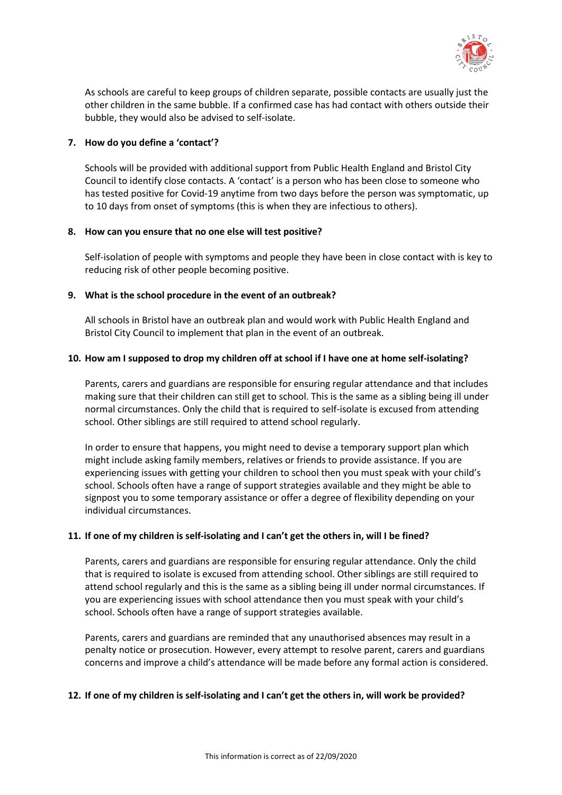

As schools are careful to keep groups of children separate, possible contacts are usually just the other children in the same bubble. If a confirmed case has had contact with others outside their bubble, they would also be advised to self-isolate.

### **7. How do you define a 'contact'?**

Schools will be provided with additional support from Public Health England and Bristol City Council to identify close contacts. A 'contact' is a person who has been close to someone who has tested positive for Covid-19 anytime from two days before the person was symptomatic, up to 10 days from onset of symptoms (this is when they are infectious to others).

#### **8. How can you ensure that no one else will test positive?**

Self-isolation of people with symptoms and people they have been in close contact with is key to reducing risk of other people becoming positive.

## **9. What is the school procedure in the event of an outbreak?**

All schools in Bristol have an outbreak plan and would work with Public Health England and Bristol City Council to implement that plan in the event of an outbreak.

## **10. How am I supposed to drop my children off at school if I have one at home self-isolating?**

Parents, carers and guardians are responsible for ensuring regular attendance and that includes making sure that their children can still get to school. This is the same as a sibling being ill under normal circumstances. Only the child that is required to self-isolate is excused from attending school. Other siblings are still required to attend school regularly.

In order to ensure that happens, you might need to devise a temporary support plan which might include asking family members, relatives or friends to provide assistance. If you are experiencing issues with getting your children to school then you must speak with your child's school. Schools often have a range of support strategies available and they might be able to signpost you to some temporary assistance or offer a degree of flexibility depending on your individual circumstances.

#### **11. If one of my children is self-isolating and I can't get the others in, will I be fined?**

Parents, carers and guardians are responsible for ensuring regular attendance. Only the child that is required to isolate is excused from attending school. Other siblings are still required to attend school regularly and this is the same as a sibling being ill under normal circumstances. If you are experiencing issues with school attendance then you must speak with your child's school. Schools often have a range of support strategies available.

Parents, carers and guardians are reminded that any unauthorised absences may result in a penalty notice or prosecution. However, every attempt to resolve parent, carers and guardians concerns and improve a child's attendance will be made before any formal action is considered.

#### **12. If one of my children is self-isolating and I can't get the others in, will work be provided?**